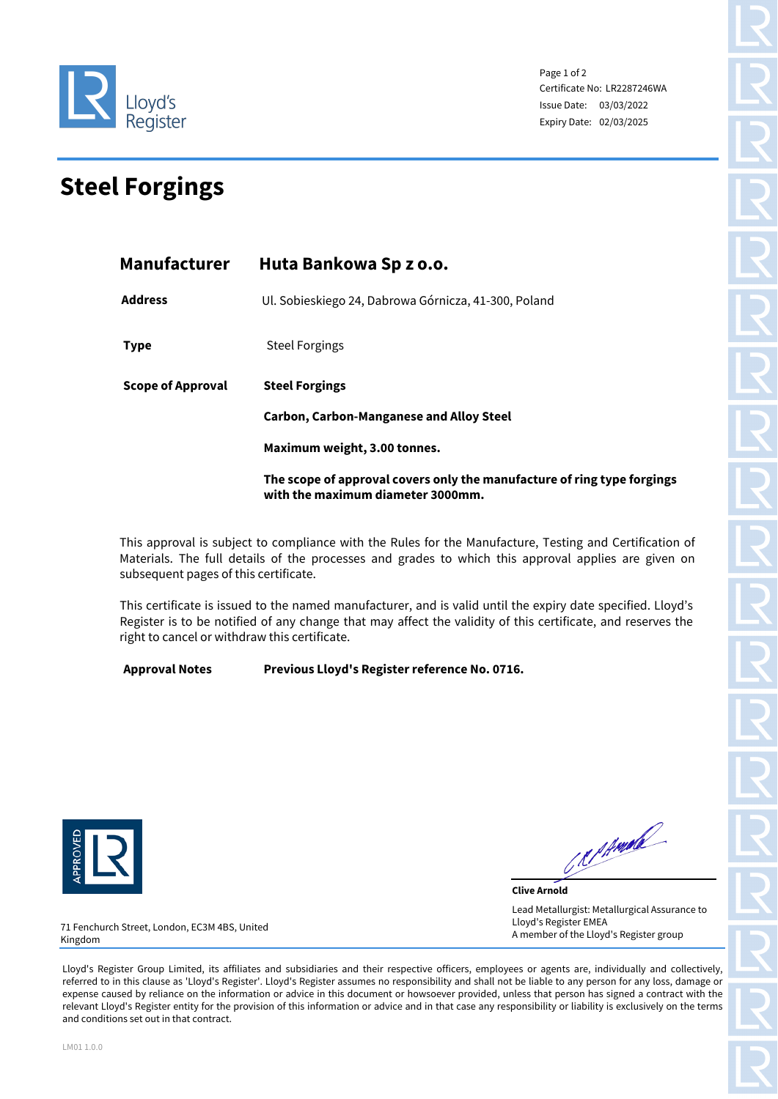

Page 1 of 2 Certificate No: LR2287246WA Issue Date: 03/03/2022 Expiry Date: 02/03/2025

## **Steel Forgings**

| <b>Manufacturer</b>      | Huta Bankowa Sp z o.o.                                                                                       |  |  |
|--------------------------|--------------------------------------------------------------------------------------------------------------|--|--|
| <b>Address</b>           | Ul. Sobieskiego 24, Dabrowa Górnicza, 41-300, Poland                                                         |  |  |
| <b>Type</b>              | <b>Steel Forgings</b>                                                                                        |  |  |
| <b>Scope of Approval</b> | <b>Steel Forgings</b>                                                                                        |  |  |
|                          | <b>Carbon, Carbon-Manganese and Alloy Steel</b>                                                              |  |  |
|                          | Maximum weight, 3.00 tonnes.                                                                                 |  |  |
|                          | The scope of approval covers only the manufacture of ring type forgings<br>with the maximum diameter 3000mm. |  |  |

This approval is subject to compliance with the Rules for the Manufacture, Testing and Certification of Materials. The full details of the processes and grades to which this approval applies are given on subsequent pages of this certificate.

This certificate is issued to the named manufacturer, and is valid until the expiry date specified. Lloyd's Register is to be notified of any change that may affect the validity of this certificate, and reserves the right to cancel or withdraw this certificate.

**Approval Notes Previous Lloyd's Register reference No. 0716.** 



Report of the Contract of

**Clive Arnold** Lead Metallurgist: Metallurgical Assurance to Lloyd's Register EMEA A member of the Lloyd's Register group

71 Fenchurch Street, London, EC3M 4BS, United Kingdom

Lloyd's Register Group Limited, its affiliates and subsidiaries and their respective officers, employees or agents are, individually and collectively, referred to in this clause as 'Lloyd's Register'. Lloyd's Register assumes no responsibility and shall not be liable to any person for any loss, damage or expense caused by reliance on the information or advice in this document or howsoever provided, unless that person has signed a contract with the relevant Lloyd's Register entity for the provision of this information or advice and in that case any responsibility or liability is exclusively on the terms and conditions set out in that contract.